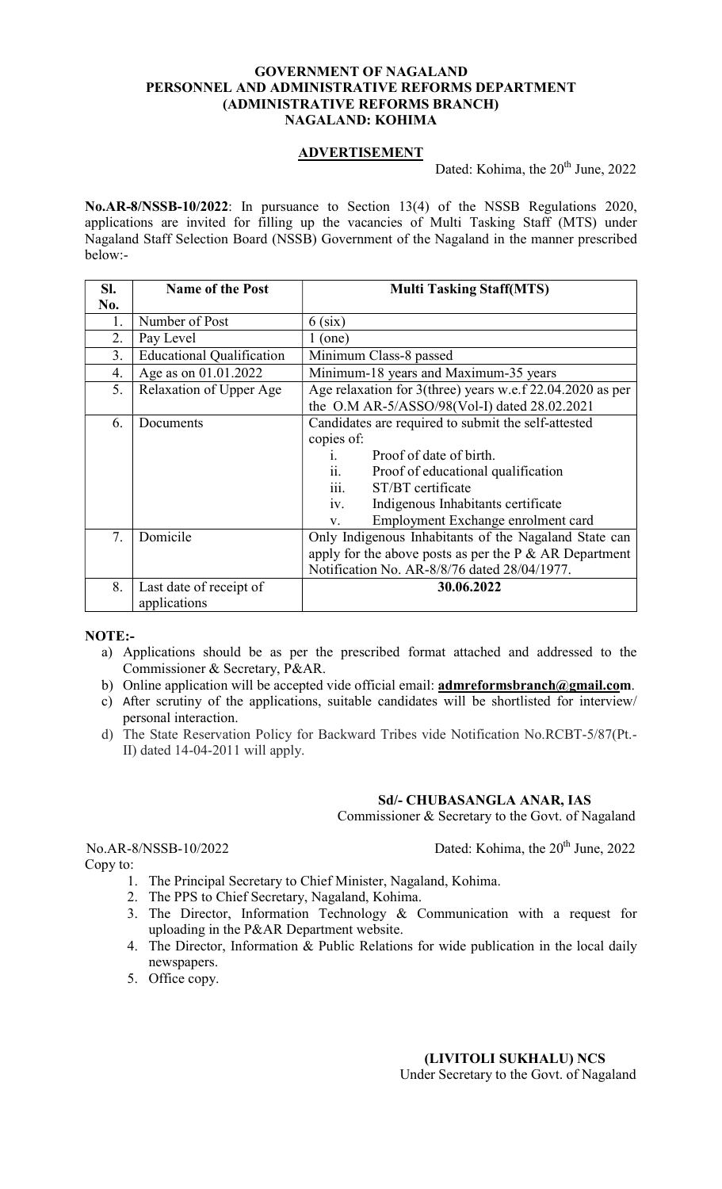## GOVERNMENT OF NAGALAND PERSONNEL AND ADMINISTRATIVE REFORMS DEPARTMENT (ADMINISTRATIVE REFORMS BRANCH) NAGALAND: KOHIMA

## ADVERTISEMENT

Dated: Kohima, the 20<sup>th</sup> June, 2022

No.AR-8/NSSB-10/2022: In pursuance to Section 13(4) of the NSSB Regulations 2020, applications are invited for filling up the vacancies of Multi Tasking Staff (MTS) under Nagaland Staff Selection Board (NSSB) Government of the Nagaland in the manner prescribed below:-

| SI. | <b>Name of the Post</b>          | <b>Multi Tasking Staff(MTS)</b>                           |
|-----|----------------------------------|-----------------------------------------------------------|
| No. |                                  |                                                           |
| 1.  | Number of Post                   | $6$ (six)                                                 |
| 2.  | Pay Level                        | $1$ (one)                                                 |
| 3.  | <b>Educational Qualification</b> | Minimum Class-8 passed                                    |
| 4.  | Age as on 01.01.2022             | Minimum-18 years and Maximum-35 years                     |
| 5.  | Relaxation of Upper Age          | Age relaxation for 3(three) years w.e.f 22.04.2020 as per |
|     |                                  | the O.M AR-5/ASSO/98(Vol-I) dated 28.02.2021              |
| 6.  | Documents                        | Candidates are required to submit the self-attested       |
|     |                                  | copies of:                                                |
|     |                                  | Proof of date of birth.<br>$\mathbf{i}$ .                 |
|     |                                  | ii.<br>Proof of educational qualification                 |
|     |                                  | $\overline{111}$ .<br>ST/BT certificate                   |
|     |                                  | iv.<br>Indigenous Inhabitants certificate                 |
|     |                                  | Employment Exchange enrolment card<br>V.                  |
| 7.  | Domicile                         | Only Indigenous Inhabitants of the Nagaland State can     |
|     |                                  | apply for the above posts as per the $P \& AR$ Department |
|     |                                  | Notification No. AR-8/8/76 dated 28/04/1977.              |
| 8.  | Last date of receipt of          | 30.06.2022                                                |
|     | applications                     |                                                           |

NOTE:-

- a) Applications should be as per the prescribed format attached and addressed to the Commissioner & Secretary, P&AR.
- b) Online application will be accepted vide official email: **admreformsbranch@gmail.com**.
- c) After scrutiny of the applications, suitable candidates will be shortlisted for interview/ personal interaction.
- d) The State Reservation Policy for Backward Tribes vide Notification No.RCBT-5/87(Pt.- II) dated 14-04-2011 will apply.

## Sd/- CHUBASANGLA ANAR, IAS

Commissioner & Secretary to the Govt. of Nagaland

No.AR-8/NSSB-10/2022 Dated: Kohima, the 20<sup>th</sup> June, 2022 Copy to:

- 1. The Principal Secretary to Chief Minister, Nagaland, Kohima.
- 2. The PPS to Chief Secretary, Nagaland, Kohima.
- 3. The Director, Information Technology & Communication with a request for uploading in the P&AR Department website.
- 4. The Director, Information & Public Relations for wide publication in the local daily newspapers.
- 5. Office copy.